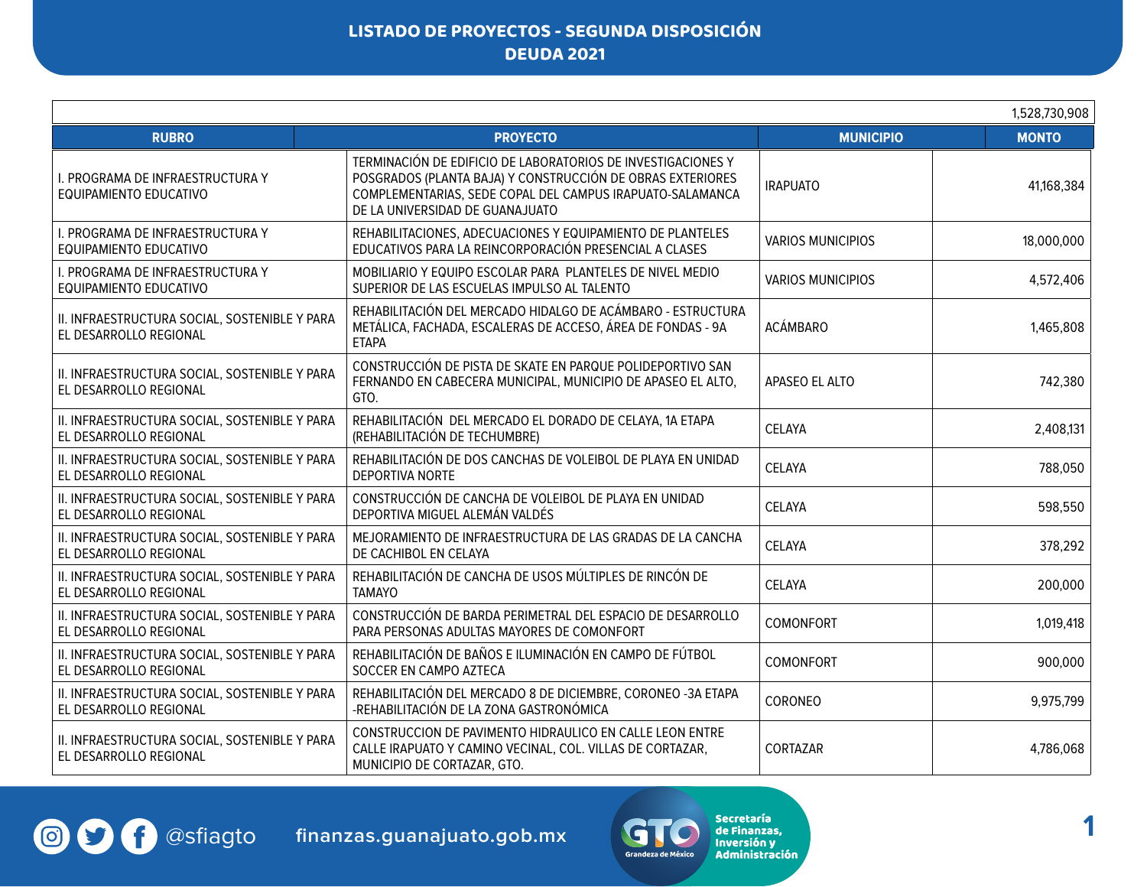|                                                                         |                                                                                                                                                                                                                            |                          | 1,528,730,908 |
|-------------------------------------------------------------------------|----------------------------------------------------------------------------------------------------------------------------------------------------------------------------------------------------------------------------|--------------------------|---------------|
| <b>RUBRO</b>                                                            | <b>PROYECTO</b>                                                                                                                                                                                                            | <b>MUNICIPIO</b>         | <b>MONTO</b>  |
| I. PROGRAMA DE INFRAESTRUCTURA Y<br>EQUIPAMIENTO EDUCATIVO              | TERMINACIÓN DE EDIFICIO DE LABORATORIOS DE INVESTIGACIONES Y<br>POSGRADOS (PLANTA BAJA) Y CONSTRUCCIÓN DE OBRAS EXTERIORES<br>COMPLEMENTARIAS, SEDE COPAL DEL CAMPUS IRAPUATO-SALAMANCA<br>DE LA UNIVERSIDAD DE GUANAJUATO | <b>IRAPUATO</b>          | 41,168,384    |
| I. PROGRAMA DE INFRAESTRUCTURA Y<br>EQUIPAMIENTO EDUCATIVO              | REHABILITACIONES, ADECUACIONES Y EQUIPAMIENTO DE PLANTELES<br>EDUCATIVOS PARA LA REINCORPORACIÓN PRESENCIAL A CLASES                                                                                                       | <b>VARIOS MUNICIPIOS</b> | 18,000,000    |
| I. PROGRAMA DE INFRAESTRUCTURA Y<br>EQUIPAMIENTO EDUCATIVO              | MOBILIARIO Y EQUIPO ESCOLAR PARA PLANTELES DE NIVEL MEDIO<br>SUPERIOR DE LAS ESCUELAS IMPULSO AL TALENTO                                                                                                                   | <b>VARIOS MUNICIPIOS</b> | 4,572,406     |
| II. INFRAESTRUCTURA SOCIAL, SOSTENIBLE Y PARA<br>EL DESARROLLO REGIONAL | REHABILITACIÓN DEL MERCADO HIDALGO DE ACÁMBARO - ESTRUCTURA<br>METÁLICA, FACHADA, ESCALERAS DE ACCESO, ÁREA DE FONDAS - 9A<br><b>ETAPA</b>                                                                                 | <b>ACÁMBARO</b>          | 1,465,808     |
| II. INFRAESTRUCTURA SOCIAL, SOSTENIBLE Y PARA<br>EL DESARROLLO REGIONAL | CONSTRUCCIÓN DE PISTA DE SKATE EN PARQUE POLIDEPORTIVO SAN<br>FERNANDO EN CABECERA MUNICIPAL, MUNICIPIO DE APASEO EL ALTO,<br>GTO.                                                                                         | APASEO EL ALTO           | 742,380       |
| II. INFRAESTRUCTURA SOCIAL, SOSTENIBLE Y PARA<br>EL DESARROLLO REGIONAL | REHABILITACIÓN DEL MERCADO EL DORADO DE CELAYA, 1A ETAPA<br>(REHABILITACIÓN DE TECHUMBRE)                                                                                                                                  | CELAYA                   | 2,408,131     |
| II. INFRAESTRUCTURA SOCIAL, SOSTENIBLE Y PARA<br>EL DESARROLLO REGIONAL | REHABILITACIÓN DE DOS CANCHAS DE VOLEIBOL DE PLAYA EN UNIDAD<br>DEPORTIVA NORTE                                                                                                                                            | CELAYA                   | 788,050       |
| II. INFRAESTRUCTURA SOCIAL, SOSTENIBLE Y PARA<br>EL DESARROLLO REGIONAL | CONSTRUCCIÓN DE CANCHA DE VOLEIBOL DE PLAYA EN UNIDAD<br>DEPORTIVA MIGUEL ALEMÁN VALDÉS                                                                                                                                    | CELAYA                   | 598,550       |
| II. INFRAESTRUCTURA SOCIAL, SOSTENIBLE Y PARA<br>EL DESARROLLO REGIONAL | MEJORAMIENTO DE INFRAESTRUCTURA DE LAS GRADAS DE LA CANCHA<br>DE CACHIBOL EN CELAYA                                                                                                                                        | CELAYA                   | 378,292       |
| II. INFRAESTRUCTURA SOCIAL, SOSTENIBLE Y PARA<br>EL DESARROLLO REGIONAL | REHABILITACIÓN DE CANCHA DE USOS MÚLTIPLES DE RINCÓN DE<br><b>TAMAYO</b>                                                                                                                                                   | CELAYA                   | 200,000       |
| II. INFRAESTRUCTURA SOCIAL, SOSTENIBLE Y PARA<br>EL DESARROLLO REGIONAL | CONSTRUCCIÓN DE BARDA PERIMETRAL DEL ESPACIO DE DESARROLLO<br>PARA PERSONAS ADULTAS MAYORES DE COMONFORT                                                                                                                   | COMONFORT                | 1,019,418     |
| II. INFRAESTRUCTURA SOCIAL, SOSTENIBLE Y PARA<br>EL DESARROLLO REGIONAL | REHABILITACIÓN DE BAÑOS E ILUMINACIÓN EN CAMPO DE FÚTBOL<br>SOCCER EN CAMPO AZTECA                                                                                                                                         | COMONFORT                | 900,000       |
| II. INFRAESTRUCTURA SOCIAL, SOSTENIBLE Y PARA<br>EL DESARROLLO REGIONAL | REHABILITACIÓN DEL MERCADO 8 DE DICIEMBRE, CORONEO -3A ETAPA<br>-REHABILITACIÓN DE LA ZONA GASTRONÓMICA                                                                                                                    | CORONEO                  | 9,975,799     |
| II. INFRAESTRUCTURA SOCIAL, SOSTENIBLE Y PARA<br>EL DESARROLLO REGIONAL | CONSTRUCCION DE PAVIMENTO HIDRAULICO EN CALLE LEON ENTRE<br>CALLE IRAPUATO Y CAMINO VECINAL, COL. VILLAS DE CORTAZAR,<br>MUNICIPIO DE CORTAZAR, GTO.                                                                       | CORTAZAR                 | 4,786,068     |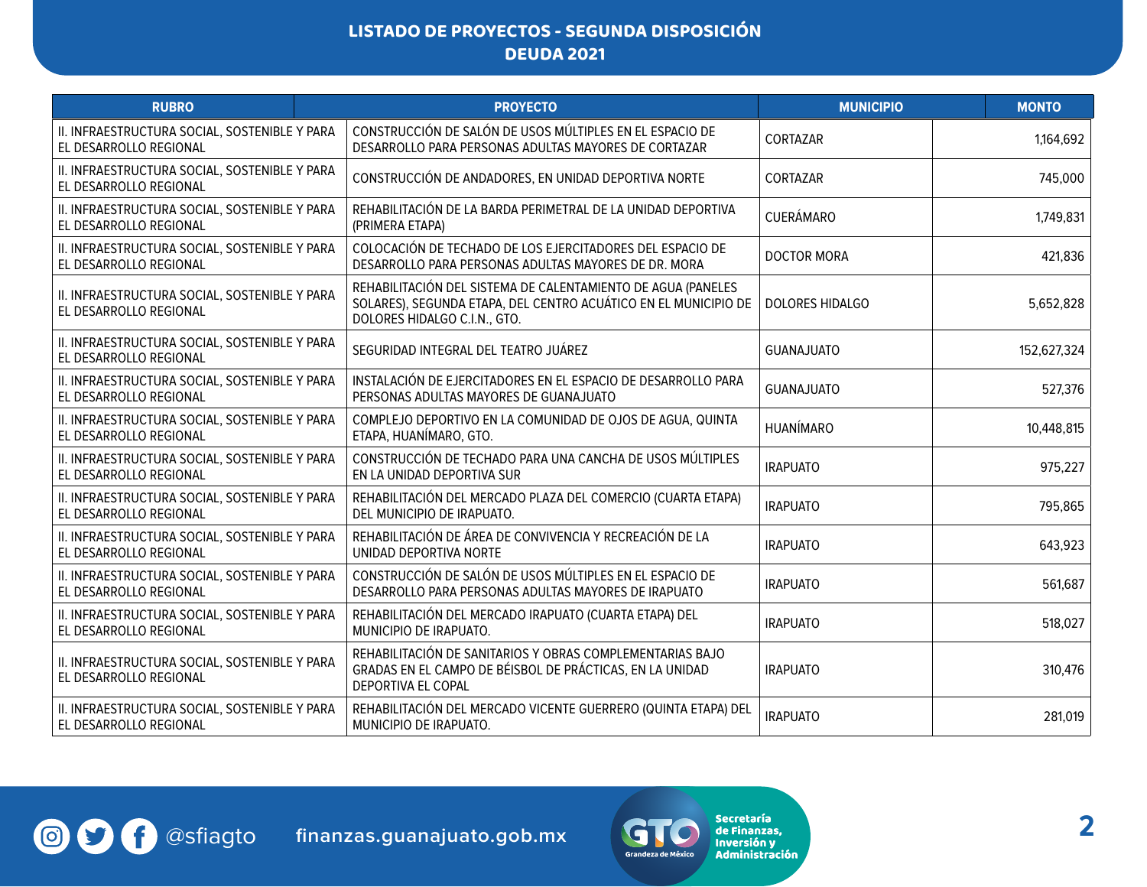| <b>RUBRO</b>                                                            | <b>PROYECTO</b>                                                                                                                                                 | <b>MUNICIPIO</b>       | <b>MONTO</b> |
|-------------------------------------------------------------------------|-----------------------------------------------------------------------------------------------------------------------------------------------------------------|------------------------|--------------|
| II. INFRAESTRUCTURA SOCIAL, SOSTENIBLE Y PARA<br>EL DESARROLLO REGIONAL | CONSTRUCCIÓN DE SALÓN DE USOS MÚLTIPLES EN EL ESPACIO DE<br>DESARROLLO PARA PERSONAS ADULTAS MAYORES DE CORTAZAR                                                | CORTAZAR               | 1,164,692    |
| II. INFRAESTRUCTURA SOCIAL, SOSTENIBLE Y PARA<br>EL DESARROLLO REGIONAL | CONSTRUCCIÓN DE ANDADORES, EN UNIDAD DEPORTIVA NORTE                                                                                                            | CORTAZAR               | 745,000      |
| II. INFRAESTRUCTURA SOCIAL, SOSTENIBLE Y PARA<br>EL DESARROLLO REGIONAL | REHABILITACIÓN DE LA BARDA PERIMETRAL DE LA UNIDAD DEPORTIVA<br>(PRIMERA ETAPA)                                                                                 | <b>CUERÁMARO</b>       | 1,749,831    |
| II. INFRAESTRUCTURA SOCIAL, SOSTENIBLE Y PARA<br>EL DESARROLLO REGIONAL | COLOCACIÓN DE TECHADO DE LOS EJERCITADORES DEL ESPACIO DE<br>DESARROLLO PARA PERSONAS ADULTAS MAYORES DE DR. MORA                                               | <b>DOCTOR MORA</b>     | 421,836      |
| II. INFRAESTRUCTURA SOCIAL, SOSTENIBLE Y PARA<br>EL DESARROLLO REGIONAL | REHABILITACIÓN DEL SISTEMA DE CALENTAMIENTO DE AGUA (PANELES<br>SOLARES), SEGUNDA ETAPA, DEL CENTRO ACUÁTICO EN EL MUNICIPIO DE<br>DOLORES HIDALGO C.I.N., GTO. | <b>DOLORES HIDALGO</b> | 5,652,828    |
| II. INFRAESTRUCTURA SOCIAL, SOSTENIBLE Y PARA<br>EL DESARROLLO REGIONAL | SEGURIDAD INTEGRAL DEL TEATRO JUÁREZ                                                                                                                            | <b>GUANAJUATO</b>      | 152,627,324  |
| II. INFRAESTRUCTURA SOCIAL, SOSTENIBLE Y PARA<br>EL DESARROLLO REGIONAL | INSTALACIÓN DE EJERCITADORES EN EL ESPACIO DE DESARROLLO PARA<br>PERSONAS ADULTAS MAYORES DE GUANAJUATO                                                         | <b>GUANAJUATO</b>      | 527,376      |
| II. INFRAESTRUCTURA SOCIAL, SOSTENIBLE Y PARA<br>EL DESARROLLO REGIONAL | COMPLEJO DEPORTIVO EN LA COMUNIDAD DE OJOS DE AGUA, QUINTA<br>ETAPA, HUANÍMARO, GTO.                                                                            | <b>HUANÍMARO</b>       | 10,448,815   |
| II. INFRAESTRUCTURA SOCIAL, SOSTENIBLE Y PARA<br>EL DESARROLLO REGIONAL | CONSTRUCCIÓN DE TECHADO PARA UNA CANCHA DE USOS MÚLTIPLES<br>EN LA UNIDAD DEPORTIVA SUR                                                                         | <b>IRAPUATO</b>        | 975,227      |
| II. INFRAESTRUCTURA SOCIAL, SOSTENIBLE Y PARA<br>EL DESARROLLO REGIONAL | REHABILITACIÓN DEL MERCADO PLAZA DEL COMERCIO (CUARTA ETAPA)<br>DEL MUNICIPIO DE IRAPUATO.                                                                      | <b>IRAPUATO</b>        | 795,865      |
| II. INFRAESTRUCTURA SOCIAL, SOSTENIBLE Y PARA<br>EL DESARROLLO REGIONAL | REHABILITACIÓN DE ÁREA DE CONVIVENCIA Y RECREACIÓN DE LA<br>UNIDAD DEPORTIVA NORTE                                                                              | <b>IRAPUATO</b>        | 643,923      |
| II. INFRAESTRUCTURA SOCIAL, SOSTENIBLE Y PARA<br>EL DESARROLLO REGIONAL | CONSTRUCCIÓN DE SALÓN DE USOS MÚLTIPLES EN EL ESPACIO DE<br>DESARROLLO PARA PERSONAS ADULTAS MAYORES DE IRAPUATO                                                | <b>IRAPUATO</b>        | 561,687      |
| II. INFRAESTRUCTURA SOCIAL, SOSTENIBLE Y PARA<br>EL DESARROLLO REGIONAL | REHABILITACIÓN DEL MERCADO IRAPUATO (CUARTA ETAPA) DEL<br>MUNICIPIO DE IRAPUATO.                                                                                | <b>IRAPUATO</b>        | 518,027      |
| II. INFRAESTRUCTURA SOCIAL, SOSTENIBLE Y PARA<br>EL DESARROLLO REGIONAL | REHABILITACIÓN DE SANITARIOS Y OBRAS COMPLEMENTARIAS BAJO<br>GRADAS EN EL CAMPO DE BÉISBOL DE PRÁCTICAS, EN LA UNIDAD<br>DEPORTIVA EL COPAL                     | <b>IRAPUATO</b>        | 310,476      |
| II. INFRAESTRUCTURA SOCIAL, SOSTENIBLE Y PARA<br>EL DESARROLLO REGIONAL | REHABILITACIÓN DEL MERCADO VICENTE GUERRERO (QUINTA ETAPA) DEL<br>MUNICIPIO DE IRAPUATO.                                                                        | <b>IRAPUATO</b>        | 281,019      |

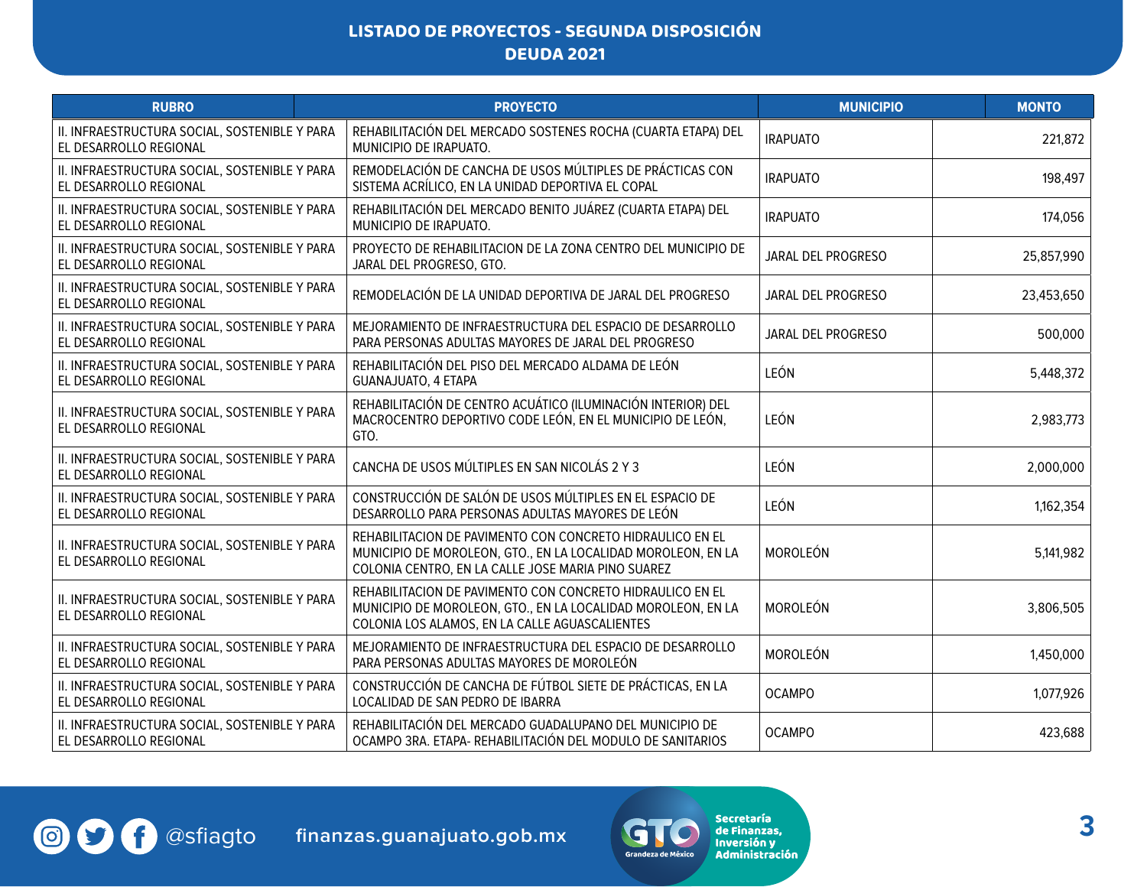| <b>RUBRO</b>                                                            | <b>PROYECTO</b>                                                                                                                                                                 | <b>MUNICIPIO</b>   | <b>MONTO</b> |
|-------------------------------------------------------------------------|---------------------------------------------------------------------------------------------------------------------------------------------------------------------------------|--------------------|--------------|
| II. INFRAESTRUCTURA SOCIAL, SOSTENIBLE Y PARA<br>EL DESARROLLO REGIONAL | REHABILITACIÓN DEL MERCADO SOSTENES ROCHA (CUARTA ETAPA) DEL<br>MUNICIPIO DE IRAPUATO.                                                                                          | <b>IRAPUATO</b>    | 221,872      |
| II. INFRAESTRUCTURA SOCIAL, SOSTENIBLE Y PARA<br>EL DESARROLLO REGIONAL | REMODELACIÓN DE CANCHA DE USOS MÚLTIPLES DE PRÁCTICAS CON<br>SISTEMA ACRÍLICO, EN LA UNIDAD DEPORTIVA EL COPAL                                                                  | <b>IRAPUATO</b>    | 198,497      |
| II. INFRAESTRUCTURA SOCIAL, SOSTENIBLE Y PARA<br>EL DESARROLLO REGIONAL | REHABILITACIÓN DEL MERCADO BENITO JUÁREZ (CUARTA ETAPA) DEL<br>MUNICIPIO DE IRAPUATO.                                                                                           | <b>IRAPUATO</b>    | 174,056      |
| II. INFRAESTRUCTURA SOCIAL, SOSTENIBLE Y PARA<br>EL DESARROLLO REGIONAL | PROYECTO DE REHABILITACION DE LA ZONA CENTRO DEL MUNICIPIO DE<br>JARAL DEL PROGRESO, GTO.                                                                                       | JARAL DEL PROGRESO | 25,857,990   |
| II. INFRAESTRUCTURA SOCIAL, SOSTENIBLE Y PARA<br>EL DESARROLLO REGIONAL | REMODELACIÓN DE LA UNIDAD DEPORTIVA DE JARAL DEL PROGRESO                                                                                                                       | JARAL DEL PROGRESO | 23,453,650   |
| II. INFRAESTRUCTURA SOCIAL, SOSTENIBLE Y PARA<br>EL DESARROLLO REGIONAL | MEJORAMIENTO DE INFRAESTRUCTURA DEL ESPACIO DE DESARROLLO<br>PARA PERSONAS ADULTAS MAYORES DE JARAL DEL PROGRESO                                                                | JARAL DEL PROGRESO | 500,000      |
| II. INFRAESTRUCTURA SOCIAL, SOSTENIBLE Y PARA<br>EL DESARROLLO REGIONAL | REHABILITACIÓN DEL PISO DEL MERCADO ALDAMA DE LEÓN<br>GUANAJUATO, 4 ETAPA                                                                                                       | LEÓN               | 5,448,372    |
| II. INFRAESTRUCTURA SOCIAL, SOSTENIBLE Y PARA<br>EL DESARROLLO REGIONAL | REHABILITACIÓN DE CENTRO ACUÁTICO (ILUMINACIÓN INTERIOR) DEL<br>MACROCENTRO DEPORTIVO CODE LEÓN, EN EL MUNICIPIO DE LEÓN,<br>GTO.                                               | LEÓN               | 2,983,773    |
| II. INFRAESTRUCTURA SOCIAL, SOSTENIBLE Y PARA<br>EL DESARROLLO REGIONAL | CANCHA DE USOS MÚLTIPLES EN SAN NICOLÁS 2 Y 3                                                                                                                                   | LEÓN               | 2,000,000    |
| II. INFRAESTRUCTURA SOCIAL, SOSTENIBLE Y PARA<br>EL DESARROLLO REGIONAL | CONSTRUCCIÓN DE SALÓN DE USOS MÚLTIPLES EN EL ESPACIO DE<br>DESARROLLO PARA PERSONAS ADULTAS MAYORES DE LEÓN                                                                    | LEÓN               | 1,162,354    |
| II. INFRAESTRUCTURA SOCIAL, SOSTENIBLE Y PARA<br>EL DESARROLLO REGIONAL | REHABILITACION DE PAVIMENTO CON CONCRETO HIDRAULICO EN EL<br>MUNICIPIO DE MOROLEON, GTO., EN LA LOCALIDAD MOROLEON, EN LA<br>COLONIA CENTRO, EN LA CALLE JOSE MARIA PINO SUAREZ | MOROLEÓN           | 5,141,982    |
| II. INFRAESTRUCTURA SOCIAL, SOSTENIBLE Y PARA<br>EL DESARROLLO REGIONAL | REHABILITACION DE PAVIMENTO CON CONCRETO HIDRAULICO EN EL<br>MUNICIPIO DE MOROLEON, GTO., EN LA LOCALIDAD MOROLEON, EN LA<br>COLONIA LOS ALAMOS, EN LA CALLE AGUASCALIENTES     | MOROLEÓN           | 3,806,505    |
| II. INFRAESTRUCTURA SOCIAL, SOSTENIBLE Y PARA<br>EL DESARROLLO REGIONAL | MEJORAMIENTO DE INFRAESTRUCTURA DEL ESPACIO DE DESARROLLO<br>PARA PERSONAS ADULTAS MAYORES DE MOROLEÓN                                                                          | MOROLEÓN           | 1,450,000    |
| II. INFRAESTRUCTURA SOCIAL, SOSTENIBLE Y PARA<br>EL DESARROLLO REGIONAL | CONSTRUCCIÓN DE CANCHA DE FÚTBOL SIETE DE PRÁCTICAS, EN LA<br>LOCALIDAD DE SAN PEDRO DE IBARRA                                                                                  | <b>OCAMPO</b>      | 1,077,926    |
| II. INFRAESTRUCTURA SOCIAL, SOSTENIBLE Y PARA<br>EL DESARROLLO REGIONAL | REHABILITACIÓN DEL MERCADO GUADALUPANO DEL MUNICIPIO DE<br>OCAMPO 3RA. ETAPA- REHABILITACIÓN DEL MODULO DE SANITARIOS                                                           | <b>OCAMPO</b>      | 423,688      |

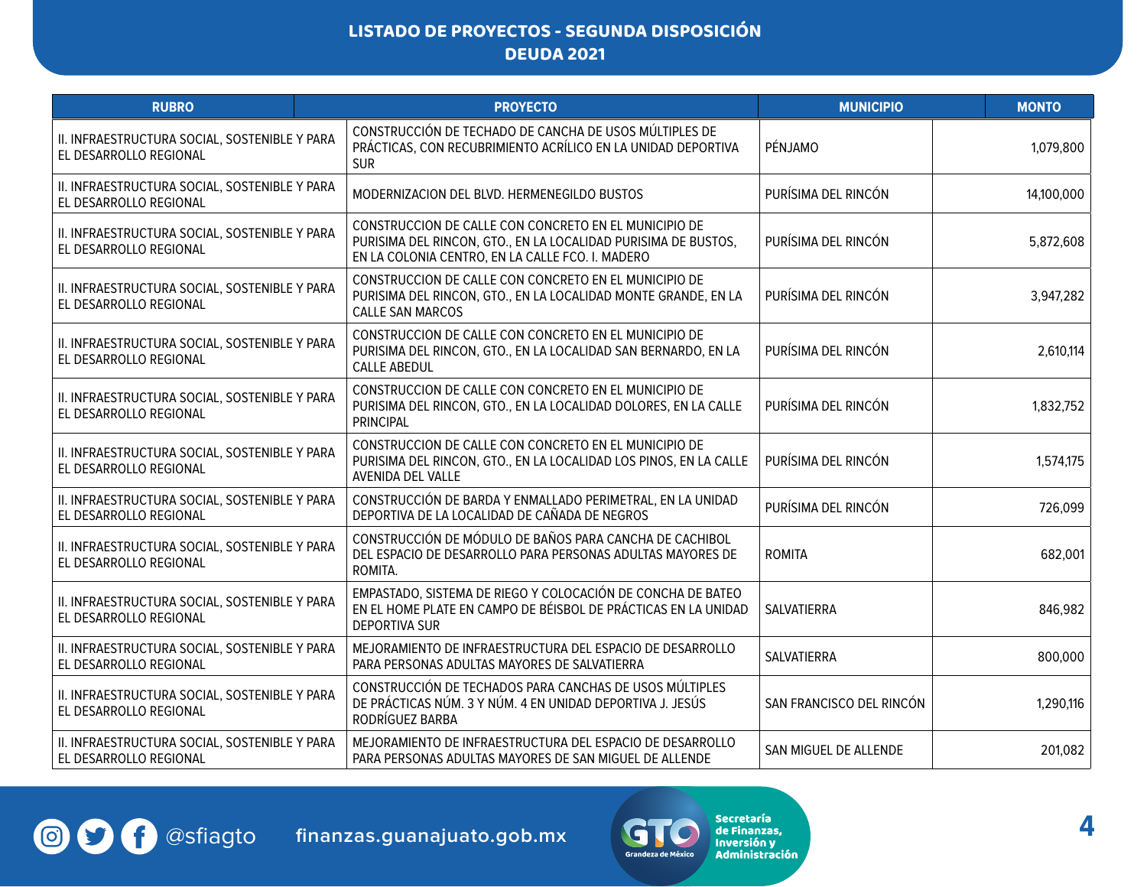| <b>RUBRO</b>                                                            | <b>PROYECTO</b>                                                                                                                                                             | <b>MUNICIPIO</b>         | <b>MONTO</b> |
|-------------------------------------------------------------------------|-----------------------------------------------------------------------------------------------------------------------------------------------------------------------------|--------------------------|--------------|
| II. INFRAESTRUCTURA SOCIAL, SOSTENIBLE Y PARA<br>EL DESARROLLO REGIONAL | CONSTRUCCIÓN DE TECHADO DE CANCHA DE USOS MÚLTIPLES DE<br>PRÁCTICAS, CON RECUBRIMIENTO ACRÍLICO EN LA UNIDAD DEPORTIVA<br><b>SUR</b>                                        | PÉNJAMO                  | 1,079,800    |
| II. INFRAESTRUCTURA SOCIAL, SOSTENIBLE Y PARA<br>EL DESARROLLO REGIONAL | MODERNIZACION DEL BLVD. HERMENEGILDO BUSTOS                                                                                                                                 | PURÍSIMA DEL RINCÓN      | 14,100,000   |
| II. INFRAESTRUCTURA SOCIAL, SOSTENIBLE Y PARA<br>EL DESARROLLO REGIONAL | CONSTRUCCION DE CALLE CON CONCRETO EN EL MUNICIPIO DE<br>PURISIMA DEL RINCON, GTO., EN LA LOCALIDAD PURISIMA DE BUSTOS,<br>EN LA COLONIA CENTRO, EN LA CALLE FCO. I. MADERO | PURÍSIMA DEL RINCÓN      | 5,872,608    |
| II. INFRAESTRUCTURA SOCIAL, SOSTENIBLE Y PARA<br>EL DESARROLLO REGIONAL | CONSTRUCCION DE CALLE CON CONCRETO EN EL MUNICIPIO DE<br>PURISIMA DEL RINCON, GTO., EN LA LOCALIDAD MONTE GRANDE, EN LA<br><b>CALLE SAN MARCOS</b>                          | PURÍSIMA DEL RINCÓN      | 3,947,282    |
| II. INFRAESTRUCTURA SOCIAL, SOSTENIBLE Y PARA<br>EL DESARROLLO REGIONAL | CONSTRUCCION DE CALLE CON CONCRETO EN EL MUNICIPIO DE<br>PURISIMA DEL RINCON, GTO., EN LA LOCALIDAD SAN BERNARDO, EN LA<br><b>CALLE ABEDUL</b>                              | PURÍSIMA DEL RINCÓN      | 2,610,114    |
| II. INFRAESTRUCTURA SOCIAL, SOSTENIBLE Y PARA<br>EL DESARROLLO REGIONAL | CONSTRUCCION DE CALLE CON CONCRETO EN EL MUNICIPIO DE<br>PURISIMA DEL RINCON, GTO., EN LA LOCALIDAD DOLORES, EN LA CALLE<br><b>PRINCIPAL</b>                                | PURÍSIMA DEL RINCÓN      | 1,832,752    |
| II. INFRAESTRUCTURA SOCIAL, SOSTENIBLE Y PARA<br>EL DESARROLLO REGIONAL | CONSTRUCCION DE CALLE CON CONCRETO EN EL MUNICIPIO DE<br>PURISIMA DEL RINCON, GTO., EN LA LOCALIDAD LOS PINOS, EN LA CALLE<br>AVENIDA DEL VALLE                             | PURÍSIMA DEL RINCÓN      | 1,574,175    |
| II. INFRAESTRUCTURA SOCIAL, SOSTENIBLE Y PARA<br>EL DESARROLLO REGIONAL | CONSTRUCCIÓN DE BARDA Y ENMALLADO PERIMETRAL, EN LA UNIDAD<br>DEPORTIVA DE LA LOCALIDAD DE CAÑADA DE NEGROS                                                                 | PURÍSIMA DEL RINCÓN      | 726,099      |
| II. INFRAESTRUCTURA SOCIAL, SOSTENIBLE Y PARA<br>EL DESARROLLO REGIONAL | CONSTRUCCIÓN DE MÓDULO DE BAÑOS PARA CANCHA DE CACHIBOL<br>DEL ESPACIO DE DESARROLLO PARA PERSONAS ADULTAS MAYORES DE<br>ROMITA.                                            | <b>ROMITA</b>            | 682,001      |
| II. INFRAESTRUCTURA SOCIAL, SOSTENIBLE Y PARA<br>EL DESARROLLO REGIONAL | EMPASTADO, SISTEMA DE RIEGO Y COLOCACIÓN DE CONCHA DE BATEO<br>EN EL HOME PLATE EN CAMPO DE BÉISBOL DE PRÁCTICAS EN LA UNIDAD<br><b>DEPORTIVA SUR</b>                       | SALVATIERRA              | 846,982      |
| II. INFRAESTRUCTURA SOCIAL, SOSTENIBLE Y PARA<br>EL DESARROLLO REGIONAL | MEJORAMIENTO DE INFRAESTRUCTURA DEL ESPACIO DE DESARROLLO<br>PARA PERSONAS ADULTAS MAYORES DE SALVATIERRA                                                                   | SALVATIERRA              | 800,000      |
| II. INFRAESTRUCTURA SOCIAL, SOSTENIBLE Y PARA<br>EL DESARROLLO REGIONAL | CONSTRUCCIÓN DE TECHADOS PARA CANCHAS DE USOS MÚLTIPLES<br>DE PRÁCTICAS NÚM. 3 Y NÚM. 4 EN UNIDAD DEPORTIVA J. JESÚS<br>RODRÍGUEZ BARBA                                     | SAN FRANCISCO DEL RINCÓN | 1,290,116    |
| II. INFRAESTRUCTURA SOCIAL, SOSTENIBLE Y PARA<br>EL DESARROLLO REGIONAL | MEJORAMIENTO DE INFRAESTRUCTURA DEL ESPACIO DE DESARROLLO<br>PARA PERSONAS ADULTAS MAYORES DE SAN MIGUEL DE ALLENDE                                                         | SAN MIGUEL DE ALLENDE    | 201,082      |

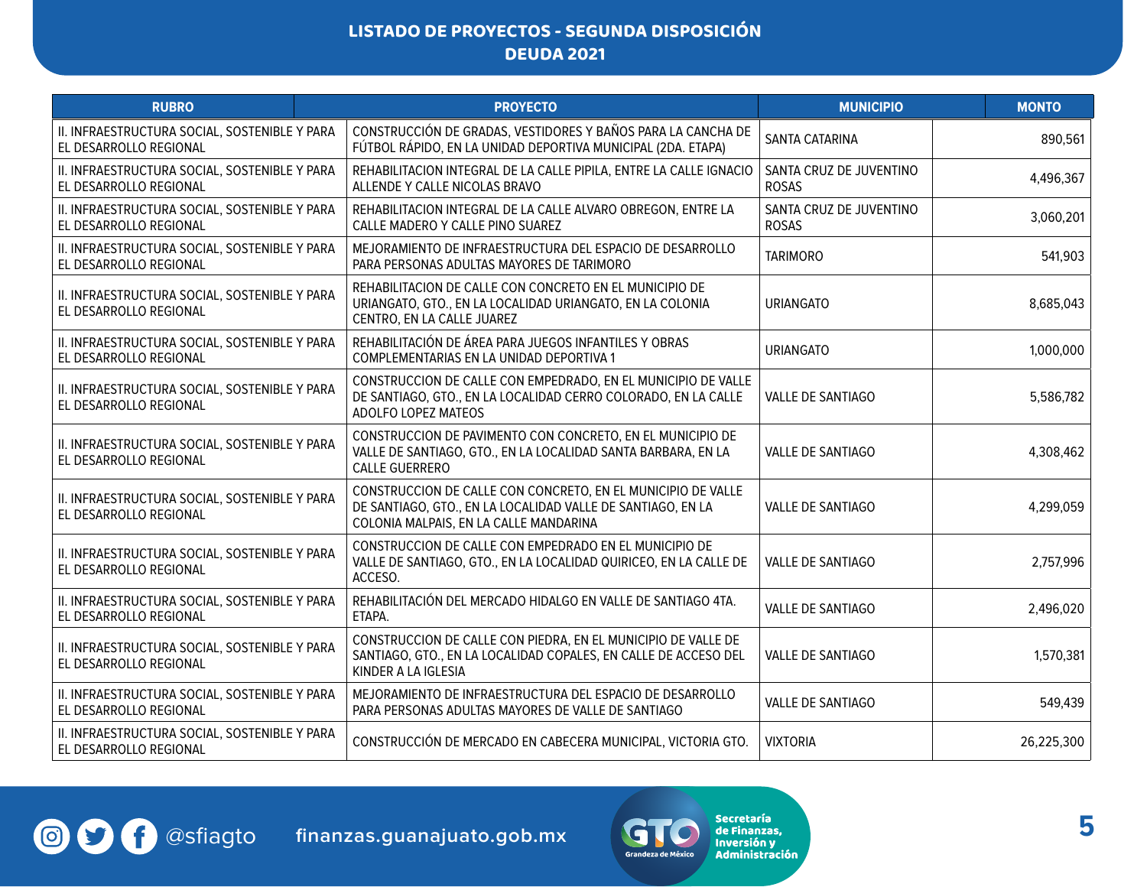| <b>RUBRO</b>                                                            | <b>PROYECTO</b>                                                                                                                                                       | <b>MUNICIPIO</b>                        | <b>MONTO</b> |
|-------------------------------------------------------------------------|-----------------------------------------------------------------------------------------------------------------------------------------------------------------------|-----------------------------------------|--------------|
| II. INFRAESTRUCTURA SOCIAL, SOSTENIBLE Y PARA<br>EL DESARROLLO REGIONAL | CONSTRUCCIÓN DE GRADAS, VESTIDORES Y BAÑOS PARA LA CANCHA DE<br>FÚTBOL RÁPIDO, EN LA UNIDAD DEPORTIVA MUNICIPAL (2DA. ETAPA)                                          | SANTA CATARINA                          | 890,561      |
| II. INFRAESTRUCTURA SOCIAL, SOSTENIBLE Y PARA<br>EL DESARROLLO REGIONAL | REHABILITACION INTEGRAL DE LA CALLE PIPILA, ENTRE LA CALLE IGNACIO<br>ALLENDE Y CALLE NICOLAS BRAVO                                                                   | SANTA CRUZ DE JUVENTINO<br><b>ROSAS</b> | 4,496,367    |
| II. INFRAESTRUCTURA SOCIAL, SOSTENIBLE Y PARA<br>EL DESARROLLO REGIONAL | REHABILITACION INTEGRAL DE LA CALLE ALVARO OBREGON, ENTRE LA<br>CALLE MADERO Y CALLE PINO SUAREZ                                                                      | SANTA CRUZ DE JUVENTINO<br><b>ROSAS</b> | 3,060,201    |
| II. INFRAESTRUCTURA SOCIAL, SOSTENIBLE Y PARA<br>EL DESARROLLO REGIONAL | MEJORAMIENTO DE INFRAESTRUCTURA DEL ESPACIO DE DESARROLLO<br>PARA PERSONAS ADULTAS MAYORES DE TARIMORO                                                                | <b>TARIMORO</b>                         | 541,903      |
| II. INFRAESTRUCTURA SOCIAL, SOSTENIBLE Y PARA<br>EL DESARROLLO REGIONAL | REHABILITACION DE CALLE CON CONCRETO EN EL MUNICIPIO DE<br>URIANGATO, GTO., EN LA LOCALIDAD URIANGATO, EN LA COLONIA<br>CENTRO, EN LA CALLE JUAREZ                    | <b>URIANGATO</b>                        | 8,685,043    |
| II. INFRAESTRUCTURA SOCIAL, SOSTENIBLE Y PARA<br>EL DESARROLLO REGIONAL | REHABILITACIÓN DE ÁREA PARA JUEGOS INFANTILES Y OBRAS<br>COMPLEMENTARIAS EN LA UNIDAD DEPORTIVA 1                                                                     | <b>URIANGATO</b>                        | 1,000,000    |
| II. INFRAESTRUCTURA SOCIAL, SOSTENIBLE Y PARA<br>EL DESARROLLO REGIONAL | CONSTRUCCION DE CALLE CON EMPEDRADO, EN EL MUNICIPIO DE VALLE<br>DE SANTIAGO, GTO., EN LA LOCALIDAD CERRO COLORADO, EN LA CALLE<br>ADOLFO LOPEZ MATEOS                | <b>VALLE DE SANTIAGO</b>                | 5,586,782    |
| II. INFRAESTRUCTURA SOCIAL, SOSTENIBLE Y PARA<br>EL DESARROLLO REGIONAL | CONSTRUCCION DE PAVIMENTO CON CONCRETO, EN EL MUNICIPIO DE<br>VALLE DE SANTIAGO, GTO., EN LA LOCALIDAD SANTA BARBARA, EN LA<br><b>CALLE GUERRERO</b>                  | <b>VALLE DE SANTIAGO</b>                | 4,308,462    |
| II. INFRAESTRUCTURA SOCIAL, SOSTENIBLE Y PARA<br>EL DESARROLLO REGIONAL | CONSTRUCCION DE CALLE CON CONCRETO, EN EL MUNICIPIO DE VALLE<br>DE SANTIAGO, GTO., EN LA LOCALIDAD VALLE DE SANTIAGO, EN LA<br>COLONIA MALPAIS, EN LA CALLE MANDARINA | <b>VALLE DE SANTIAGO</b>                | 4,299,059    |
| II. INFRAESTRUCTURA SOCIAL, SOSTENIBLE Y PARA<br>EL DESARROLLO REGIONAL | CONSTRUCCION DE CALLE CON EMPEDRADO EN EL MUNICIPIO DE<br>VALLE DE SANTIAGO, GTO., EN LA LOCALIDAD QUIRICEO, EN LA CALLE DE<br>ACCESO.                                | <b>VALLE DE SANTIAGO</b>                | 2,757,996    |
| II. INFRAESTRUCTURA SOCIAL, SOSTENIBLE Y PARA<br>EL DESARROLLO REGIONAL | REHABILITACIÓN DEL MERCADO HIDALGO EN VALLE DE SANTIAGO 4TA.<br>ETAPA.                                                                                                | VALLE DE SANTIAGO                       | 2,496,020    |
| II. INFRAESTRUCTURA SOCIAL, SOSTENIBLE Y PARA<br>EL DESARROLLO REGIONAL | CONSTRUCCION DE CALLE CON PIEDRA, EN EL MUNICIPIO DE VALLE DE<br>SANTIAGO, GTO., EN LA LOCALIDAD COPALES, EN CALLE DE ACCESO DEL<br>KINDER A LA IGLESIA               | <b>VALLE DE SANTIAGO</b>                | 1,570,381    |
| II. INFRAESTRUCTURA SOCIAL, SOSTENIBLE Y PARA<br>EL DESARROLLO REGIONAL | MEJORAMIENTO DE INFRAESTRUCTURA DEL ESPACIO DE DESARROLLO<br>PARA PERSONAS ADULTAS MAYORES DE VALLE DE SANTIAGO                                                       | VALLE DE SANTIAGO                       | 549,439      |
| II. INFRAESTRUCTURA SOCIAL, SOSTENIBLE Y PARA<br>EL DESARROLLO REGIONAL | CONSTRUCCIÓN DE MERCADO EN CABECERA MUNICIPAL, VICTORIA GTO.                                                                                                          | <b>VIXTORIA</b>                         | 26,225,300   |

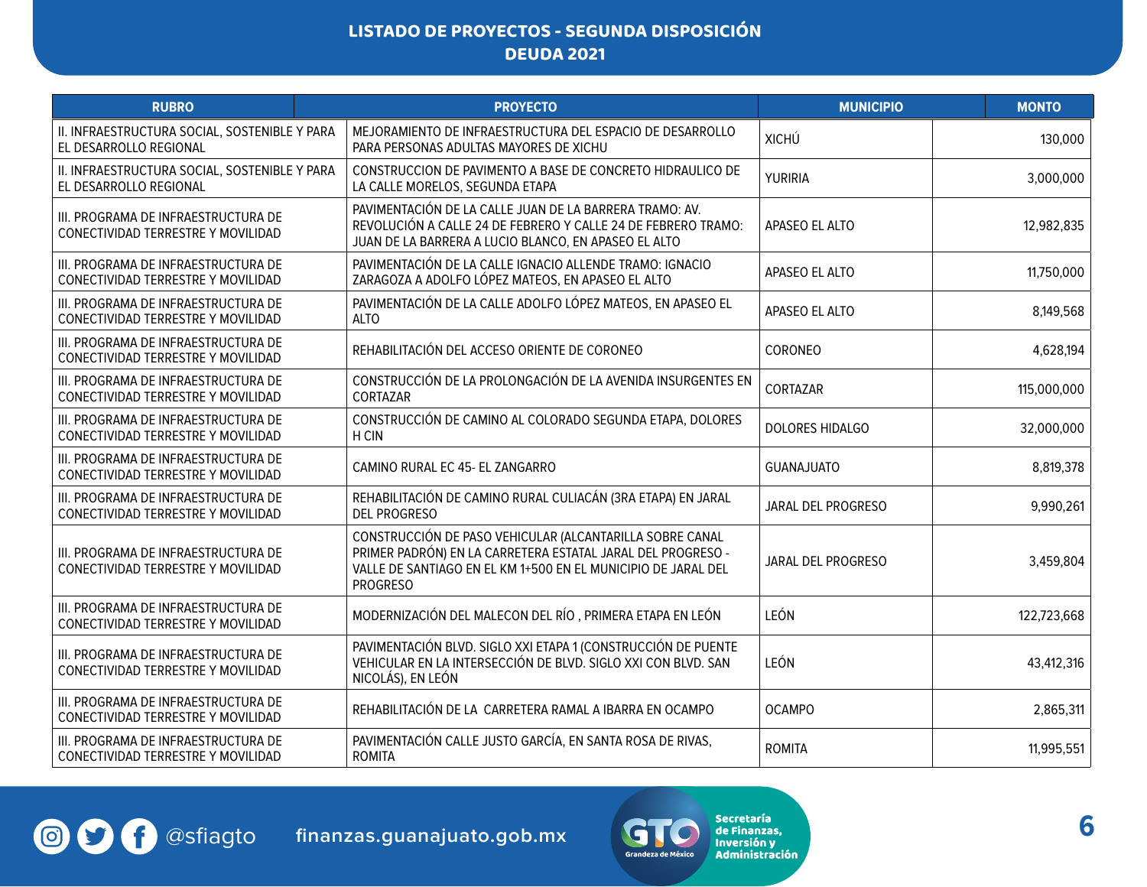| <b>RUBRO</b>                                                              | <b>PROYECTO</b>                                                                                                                                                                                             | <b>MUNICIPIO</b>   | <b>MONTO</b> |
|---------------------------------------------------------------------------|-------------------------------------------------------------------------------------------------------------------------------------------------------------------------------------------------------------|--------------------|--------------|
| II. INFRAESTRUCTURA SOCIAL, SOSTENIBLE Y PARA<br>EL DESARROLLO REGIONAL   | MEJORAMIENTO DE INFRAESTRUCTURA DEL ESPACIO DE DESARROLLO<br>PARA PERSONAS ADULTAS MAYORES DE XICHU                                                                                                         | <b>XICHÚ</b>       | 130,000      |
| II. INFRAESTRUCTURA SOCIAL, SOSTENIBLE Y PARA<br>EL DESARROLLO REGIONAL   | CONSTRUCCION DE PAVIMENTO A BASE DE CONCRETO HIDRAULICO DE<br>LA CALLE MORELOS, SEGUNDA ETAPA                                                                                                               | YURIRIA            | 3,000,000    |
| III. PROGRAMA DE INFRAESTRUCTURA DE<br>CONECTIVIDAD TERRESTRE Y MOVILIDAD | PAVIMENTACIÓN DE LA CALLE JUAN DE LA BARRERA TRAMO: AV.<br>REVOLUCIÓN A CALLE 24 DE FEBRERO Y CALLE 24 DE FEBRERO TRAMO:<br>JUAN DE LA BARRERA A LUCIO BLANCO, EN APASEO EL ALTO                            | APASEO EL ALTO     | 12,982,835   |
| III. PROGRAMA DE INFRAESTRUCTURA DE<br>CONECTIVIDAD TERRESTRE Y MOVILIDAD | PAVIMENTACIÓN DE LA CALLE IGNACIO ALLENDE TRAMO: IGNACIO<br>ZARAGOZA A ADOLFO LÓPEZ MATEOS, EN APASEO EL ALTO                                                                                               | APASEO EL ALTO     | 11,750,000   |
| III. PROGRAMA DE INFRAESTRUCTURA DE<br>CONECTIVIDAD TERRESTRE Y MOVILIDAD | PAVIMENTACIÓN DE LA CALLE ADOLFO LÓPEZ MATEOS, EN APASEO EL<br><b>ALTO</b>                                                                                                                                  | APASEO EL ALTO     | 8,149,568    |
| III. PROGRAMA DE INFRAESTRUCTURA DE<br>CONECTIVIDAD TERRESTRE Y MOVILIDAD | REHABILITACIÓN DEL ACCESO ORIENTE DE CORONEO                                                                                                                                                                | CORONEO            | 4,628,194    |
| III. PROGRAMA DE INFRAESTRUCTURA DE<br>CONECTIVIDAD TERRESTRE Y MOVILIDAD | CONSTRUCCIÓN DE LA PROLONGACIÓN DE LA AVENIDA INSURGENTES EN<br>CORTAZAR                                                                                                                                    | CORTAZAR           | 115,000,000  |
| III. PROGRAMA DE INFRAESTRUCTURA DE<br>CONECTIVIDAD TERRESTRE Y MOVILIDAD | CONSTRUCCIÓN DE CAMINO AL COLORADO SEGUNDA ETAPA, DOLORES<br>H CIN                                                                                                                                          | DOLORES HIDALGO    | 32,000,000   |
| III. PROGRAMA DE INFRAESTRUCTURA DE<br>CONECTIVIDAD TERRESTRE Y MOVILIDAD | CAMINO RURAL EC 45- EL ZANGARRO                                                                                                                                                                             | <b>GUANAJUATO</b>  | 8,819,378    |
| III. PROGRAMA DE INFRAESTRUCTURA DE<br>CONECTIVIDAD TERRESTRE Y MOVILIDAD | REHABILITACIÓN DE CAMINO RURAL CULIACÁN (3RA ETAPA) EN JARAL<br><b>DEL PROGRESO</b>                                                                                                                         | JARAL DEL PROGRESO | 9,990,261    |
| III. PROGRAMA DE INFRAESTRUCTURA DE<br>CONECTIVIDAD TERRESTRE Y MOVILIDAD | CONSTRUCCIÓN DE PASO VEHICULAR (ALCANTARILLA SOBRE CANAL<br>PRIMER PADRÓN) EN LA CARRETERA ESTATAL JARAL DEL PROGRESO -<br>VALLE DE SANTIAGO EN EL KM 1+500 EN EL MUNICIPIO DE JARAL DEL<br><b>PROGRESO</b> | JARAL DEL PROGRESO | 3,459,804    |
| III. PROGRAMA DE INFRAESTRUCTURA DE<br>CONECTIVIDAD TERRESTRE Y MOVILIDAD | MODERNIZACIÓN DEL MALECON DEL RÍO, PRIMERA ETAPA EN LEÓN                                                                                                                                                    | LEÓN               | 122,723,668  |
| III. PROGRAMA DE INFRAESTRUCTURA DE<br>CONECTIVIDAD TERRESTRE Y MOVILIDAD | PAVIMENTACIÓN BLVD. SIGLO XXI ETAPA 1 (CONSTRUCCIÓN DE PUENTE<br>VEHICULAR EN LA INTERSECCIÓN DE BLVD. SIGLO XXI CON BLVD. SAN<br>NICOLÁS), EN LEÓN                                                         | LEÓN               | 43,412,316   |
| III. PROGRAMA DE INFRAESTRUCTURA DE<br>CONECTIVIDAD TERRESTRE Y MOVILIDAD | REHABILITACIÓN DE LA CARRETERA RAMAL A IBARRA EN OCAMPO                                                                                                                                                     | <b>OCAMPO</b>      | 2,865,311    |
| III. PROGRAMA DE INFRAESTRUCTURA DE<br>CONECTIVIDAD TERRESTRE Y MOVILIDAD | PAVIMENTACIÓN CALLE JUSTO GARCÍA, EN SANTA ROSA DE RIVAS,<br><b>ROMITA</b>                                                                                                                                  | <b>ROMITA</b>      | 11,995,551   |

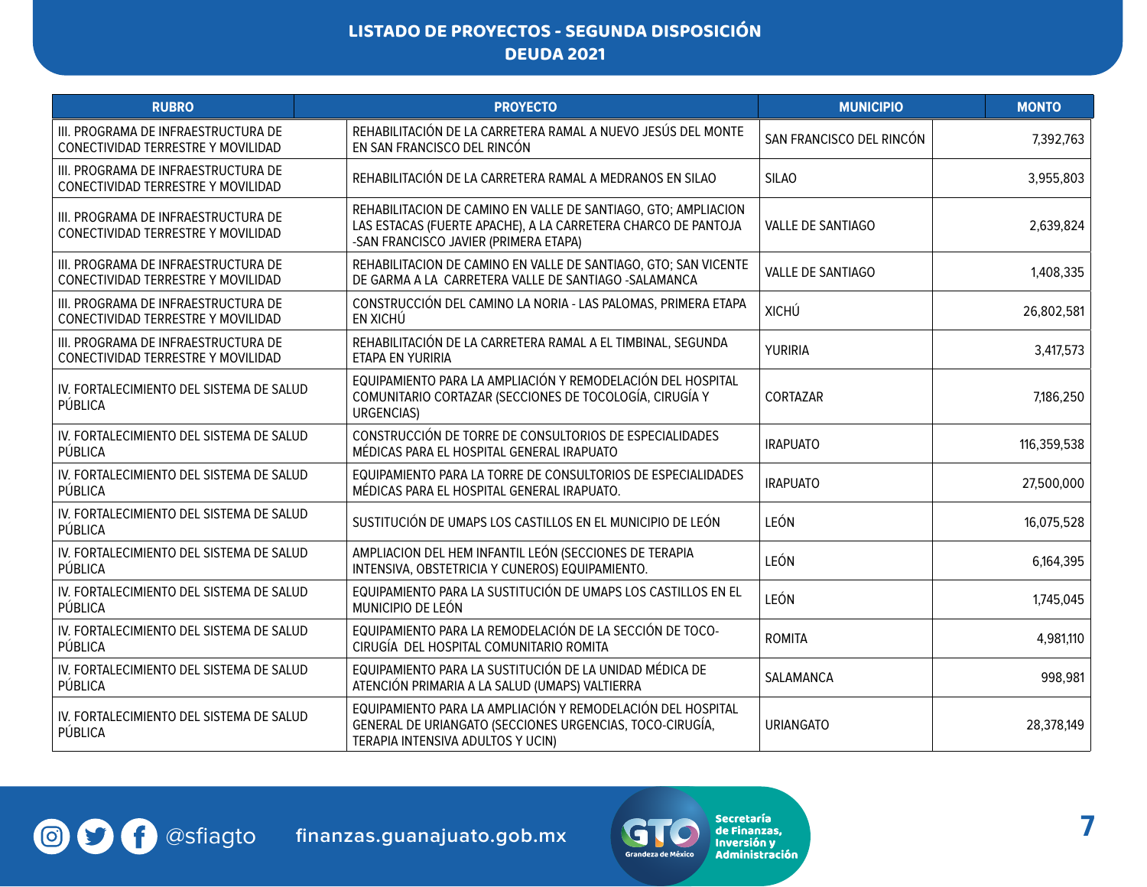| <b>RUBRO</b>                                                              | <b>PROYECTO</b>                                                                                                                                                          | <b>MUNICIPIO</b>         | <b>MONTO</b> |
|---------------------------------------------------------------------------|--------------------------------------------------------------------------------------------------------------------------------------------------------------------------|--------------------------|--------------|
| III. PROGRAMA DE INFRAESTRUCTURA DE<br>CONECTIVIDAD TERRESTRE Y MOVILIDAD | REHABILITACIÓN DE LA CARRETERA RAMAL A NUEVO JESÚS DEL MONTE<br>EN SAN FRANCISCO DEL RINCÓN                                                                              | SAN FRANCISCO DEL RINCÓN | 7,392,763    |
| III. PROGRAMA DE INFRAESTRUCTURA DE<br>CONECTIVIDAD TERRESTRE Y MOVILIDAD | REHABILITACIÓN DE LA CARRETERA RAMAL A MEDRANOS EN SILAO                                                                                                                 | <b>SILAO</b>             | 3,955,803    |
| III. PROGRAMA DE INFRAESTRUCTURA DE<br>CONECTIVIDAD TERRESTRE Y MOVILIDAD | REHABILITACION DE CAMINO EN VALLE DE SANTIAGO, GTO; AMPLIACION<br>LAS ESTACAS (FUERTE APACHE), A LA CARRETERA CHARCO DE PANTOJA<br>-SAN FRANCISCO JAVIER (PRIMERA ETAPA) | VALLE DE SANTIAGO        | 2,639,824    |
| III. PROGRAMA DE INFRAESTRUCTURA DE<br>CONECTIVIDAD TERRESTRE Y MOVILIDAD | REHABILITACION DE CAMINO EN VALLE DE SANTIAGO, GTO; SAN VICENTE<br>DE GARMA A LA CARRETERA VALLE DE SANTIAGO -SALAMANCA                                                  | <b>VALLE DE SANTIAGO</b> | 1,408,335    |
| III. PROGRAMA DE INFRAESTRUCTURA DE<br>CONECTIVIDAD TERRESTRE Y MOVILIDAD | CONSTRUCCIÓN DEL CAMINO LA NORIA - LAS PALOMAS, PRIMERA ETAPA<br>EN XICHÚ                                                                                                | <b>XICHÚ</b>             | 26,802,581   |
| III. PROGRAMA DE INFRAESTRUCTURA DE<br>CONECTIVIDAD TERRESTRE Y MOVILIDAD | REHABILITACIÓN DE LA CARRETERA RAMAL A EL TIMBINAL, SEGUNDA<br>ETAPA EN YURIRIA                                                                                          | YURIRIA                  | 3,417,573    |
| IV. FORTALECIMIENTO DEL SISTEMA DE SALUD<br>PÚBLICA                       | EQUIPAMIENTO PARA LA AMPLIACIÓN Y REMODELACIÓN DEL HOSPITAL<br>COMUNITARIO CORTAZAR (SECCIONES DE TOCOLOGÍA, CIRUGÍA Y<br><b>URGENCIAS)</b>                              | CORTAZAR                 | 7,186,250    |
| IV. FORTALECIMIENTO DEL SISTEMA DE SALUD<br>PÚBLICA                       | CONSTRUCCIÓN DE TORRE DE CONSULTORIOS DE ESPECIALIDADES<br>MÉDICAS PARA EL HOSPITAL GENERAL IRAPUATO                                                                     | <b>IRAPUATO</b>          | 116,359,538  |
| IV. FORTALECIMIENTO DEL SISTEMA DE SALUD<br>PÚBLICA                       | EQUIPAMIENTO PARA LA TORRE DE CONSULTORIOS DE ESPECIALIDADES<br>MÉDICAS PARA EL HOSPITAL GENERAL IRAPUATO.                                                               | <b>IRAPUATO</b>          | 27,500,000   |
| IV. FORTALECIMIENTO DEL SISTEMA DE SALUD<br>PÚBLICA                       | SUSTITUCIÓN DE UMAPS LOS CASTILLOS EN EL MUNICIPIO DE LEÓN                                                                                                               | LEÓN                     | 16,075,528   |
| IV. FORTALECIMIENTO DEL SISTEMA DE SALUD<br>PÚBLICA                       | AMPLIACION DEL HEM INFANTIL LEÓN (SECCIONES DE TERAPIA<br>INTENSIVA, OBSTETRICIA Y CUNEROS) EQUIPAMIENTO.                                                                | LEÓN                     | 6,164,395    |
| IV. FORTALECIMIENTO DEL SISTEMA DE SALUD<br>PÚBLICA                       | EQUIPAMIENTO PARA LA SUSTITUCIÓN DE UMAPS LOS CASTILLOS EN EL<br>MUNICIPIO DE LEÓN                                                                                       | LEÓN                     | 1,745,045    |
| IV. FORTALECIMIENTO DEL SISTEMA DE SALUD<br>PÚBLICA                       | EQUIPAMIENTO PARA LA REMODELACIÓN DE LA SECCIÓN DE TOCO-<br>CIRUGÍA DEL HOSPITAL COMUNITARIO ROMITA                                                                      | <b>ROMITA</b>            | 4,981,110    |
| IV. FORTALECIMIENTO DEL SISTEMA DE SALUD<br>PÚBLICA                       | EQUIPAMIENTO PARA LA SUSTITUCIÓN DE LA UNIDAD MÉDICA DE<br>ATENCIÓN PRIMARIA A LA SALUD (UMAPS) VALTIERRA                                                                | SALAMANCA                | 998,981      |
| IV. FORTALECIMIENTO DEL SISTEMA DE SALUD<br>PÚBLICA                       | EQUIPAMIENTO PARA LA AMPLIACIÓN Y REMODELACIÓN DEL HOSPITAL<br>GENERAL DE URIANGATO (SECCIONES URGENCIAS, TOCO-CIRUGÍA,<br>TERAPIA INTENSIVA ADULTOS Y UCIN)             | <b>URIANGATO</b>         | 28,378,149   |

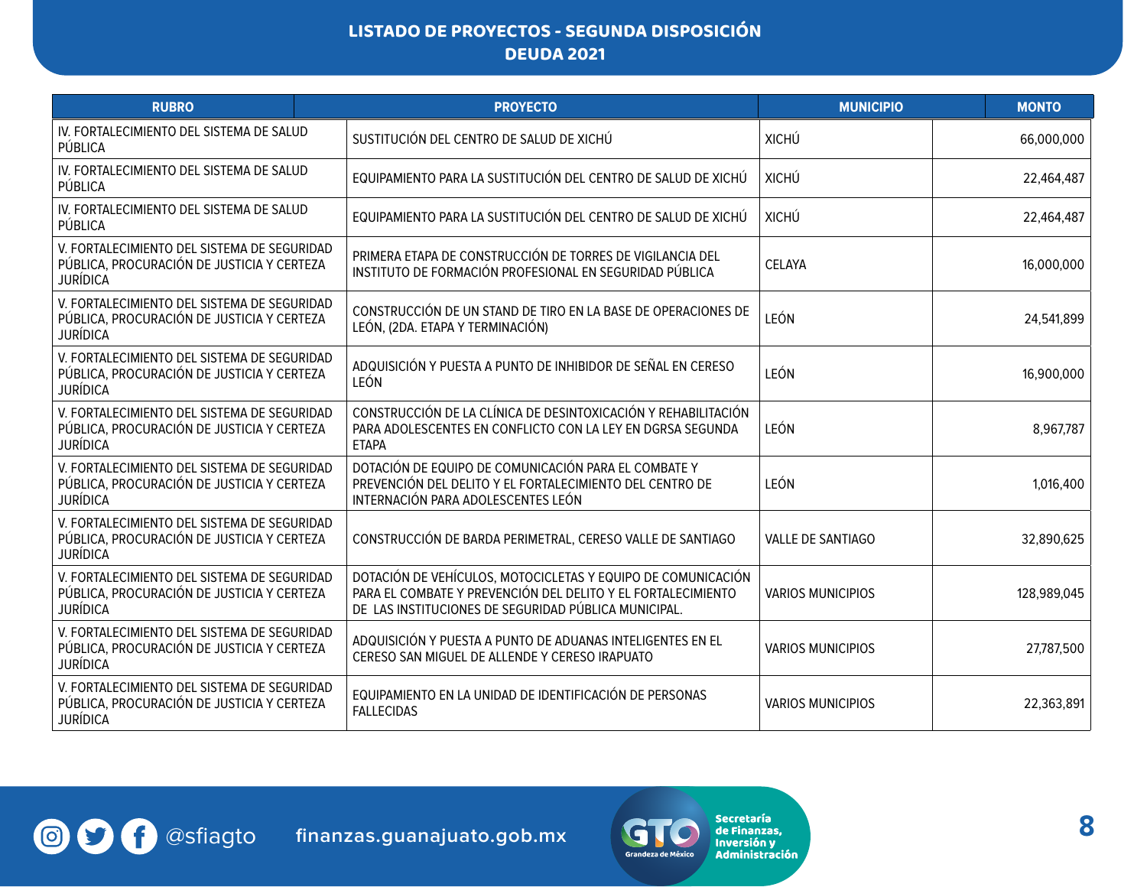| <b>RUBRO</b>                                                                                                 | <b>PROYECTO</b>                                                                                                                                                                      | <b>MUNICIPIO</b>         | <b>MONTO</b> |
|--------------------------------------------------------------------------------------------------------------|--------------------------------------------------------------------------------------------------------------------------------------------------------------------------------------|--------------------------|--------------|
| IV. FORTALECIMIENTO DEL SISTEMA DE SALUD<br>PÚBLICA                                                          | SUSTITUCIÓN DEL CENTRO DE SALUD DE XICHÚ                                                                                                                                             | <b>XICHÚ</b>             | 66,000,000   |
| IV. FORTALECIMIENTO DEL SISTEMA DE SALUD<br>PÚBLICA                                                          | EQUIPAMIENTO PARA LA SUSTITUCIÓN DEL CENTRO DE SALUD DE XICHÚ                                                                                                                        | <b>XICHÚ</b>             | 22,464,487   |
| IV. FORTALECIMIENTO DEL SISTEMA DE SALUD<br>PÚBLICA                                                          | EQUIPAMIENTO PARA LA SUSTITUCIÓN DEL CENTRO DE SALUD DE XICHÚ                                                                                                                        | <b>XICHÚ</b>             | 22,464,487   |
| V. FORTALECIMIENTO DEL SISTEMA DE SEGURIDAD<br>PÚBLICA, PROCURACIÓN DE JUSTICIA Y CERTEZA<br><b>JURÍDICA</b> | PRIMERA ETAPA DE CONSTRUCCIÓN DE TORRES DE VIGILANCIA DEL<br>INSTITUTO DE FORMACIÓN PROFESIONAL EN SEGURIDAD PÚBLICA                                                                 | <b>CELAYA</b>            | 16,000,000   |
| V. FORTALECIMIENTO DEL SISTEMA DE SEGURIDAD<br>PÚBLICA, PROCURACIÓN DE JUSTICIA Y CERTEZA<br><b>JURÍDICA</b> | CONSTRUCCIÓN DE UN STAND DE TIRO EN LA BASE DE OPERACIONES DE<br>LEÓN, (2DA. ETAPA Y TERMINACIÓN)                                                                                    | LEÓN                     | 24,541,899   |
| V. FORTALECIMIENTO DEL SISTEMA DE SEGURIDAD<br>PÚBLICA, PROCURACIÓN DE JUSTICIA Y CERTEZA<br><b>JURÍDICA</b> | ADQUISICIÓN Y PUESTA A PUNTO DE INHIBIDOR DE SEÑAL EN CERESO<br>LEÓN                                                                                                                 | LEÓN                     | 16,900,000   |
| V. FORTALECIMIENTO DEL SISTEMA DE SEGURIDAD<br>PÚBLICA, PROCURACIÓN DE JUSTICIA Y CERTEZA<br><b>JURÍDICA</b> | CONSTRUCCIÓN DE LA CLÍNICA DE DESINTOXICACIÓN Y REHABILITACIÓN<br>PARA ADOLESCENTES EN CONFLICTO CON LA LEY EN DGRSA SEGUNDA<br><b>ETAPA</b>                                         | LEÓN                     | 8,967,787    |
| V. FORTALECIMIENTO DEL SISTEMA DE SEGURIDAD<br>PÚBLICA, PROCURACIÓN DE JUSTICIA Y CERTEZA<br><b>JURÍDICA</b> | DOTACIÓN DE EQUIPO DE COMUNICACIÓN PARA EL COMBATE Y<br>PREVENCIÓN DEL DELITO Y EL FORTALECIMIENTO DEL CENTRO DE<br>INTERNACIÓN PARA ADOLESCENTES LEÓN                               | LEÓN                     | 1,016,400    |
| V. FORTALECIMIENTO DEL SISTEMA DE SEGURIDAD<br>PÚBLICA, PROCURACIÓN DE JUSTICIA Y CERTEZA<br><b>JURÍDICA</b> | CONSTRUCCIÓN DE BARDA PERIMETRAL, CERESO VALLE DE SANTIAGO                                                                                                                           | <b>VALLE DE SANTIAGO</b> | 32,890,625   |
| V. FORTALECIMIENTO DEL SISTEMA DE SEGURIDAD<br>PÚBLICA, PROCURACIÓN DE JUSTICIA Y CERTEZA<br><b>JURÍDICA</b> | DOTACIÓN DE VEHÍCULOS, MOTOCICLETAS Y EQUIPO DE COMUNICACIÓN<br>PARA EL COMBATE Y PREVENCIÓN DEL DELITO Y EL FORTALECIMIENTO<br>DE LAS INSTITUCIONES DE SEGURIDAD PÚBLICA MUNICIPAL. | <b>VARIOS MUNICIPIOS</b> | 128,989,045  |
| V. FORTALECIMIENTO DEL SISTEMA DE SEGURIDAD<br>PÚBLICA, PROCURACIÓN DE JUSTICIA Y CERTEZA<br><b>JURÍDICA</b> | ADQUISICIÓN Y PUESTA A PUNTO DE ADUANAS INTELIGENTES EN EL<br>CERESO SAN MIGUEL DE ALLENDE Y CERESO IRAPUATO                                                                         | <b>VARIOS MUNICIPIOS</b> | 27,787,500   |
| V. FORTALECIMIENTO DEL SISTEMA DE SEGURIDAD<br>PÚBLICA, PROCURACIÓN DE JUSTICIA Y CERTEZA<br><b>JURÍDICA</b> | EQUIPAMIENTO EN LA UNIDAD DE IDENTIFICACIÓN DE PERSONAS<br><b>FALLECIDAS</b>                                                                                                         | <b>VARIOS MUNICIPIOS</b> | 22,363,891   |